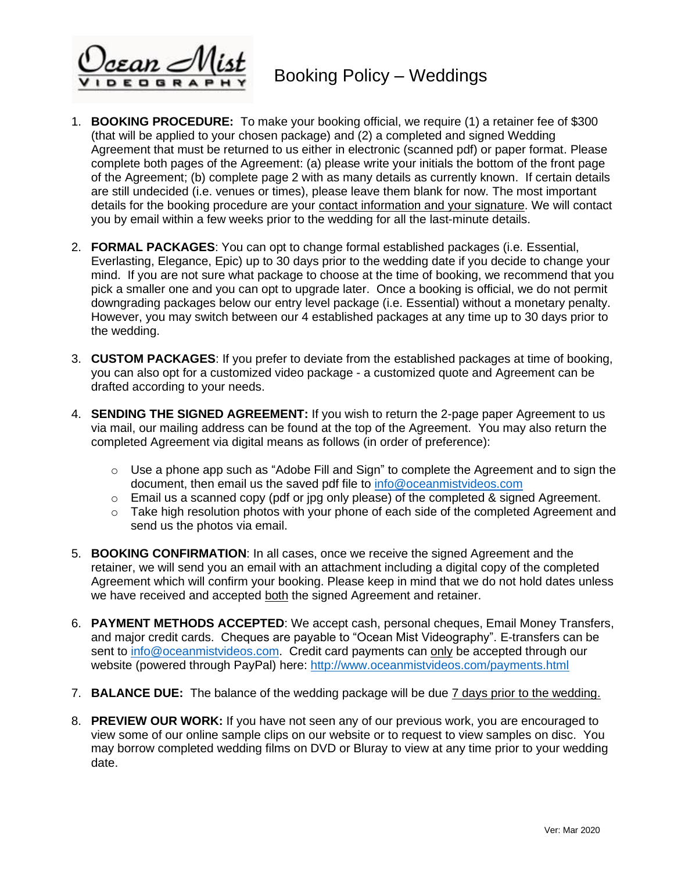\cean ∕

- 1. **BOOKING PROCEDURE:** To make your booking official, we require (1) a retainer fee of \$300 (that will be applied to your chosen package) and (2) a completed and signed Wedding Agreement that must be returned to us either in electronic (scanned pdf) or paper format. Please complete both pages of the Agreement: (a) please write your initials the bottom of the front page of the Agreement; (b) complete page 2 with as many details as currently known. If certain details are still undecided (i.e. venues or times), please leave them blank for now. The most important details for the booking procedure are your contact information and your signature. We will contact you by email within a few weeks prior to the wedding for all the last-minute details.
- 2. **FORMAL PACKAGES**: You can opt to change formal established packages (i.e. Essential, Everlasting, Elegance, Epic) up to 30 days prior to the wedding date if you decide to change your mind. If you are not sure what package to choose at the time of booking, we recommend that you pick a smaller one and you can opt to upgrade later. Once a booking is official, we do not permit downgrading packages below our entry level package (i.e. Essential) without a monetary penalty. However, you may switch between our 4 established packages at any time up to 30 days prior to the wedding.
- 3. **CUSTOM PACKAGES**: If you prefer to deviate from the established packages at time of booking, you can also opt for a customized video package - a customized quote and Agreement can be drafted according to your needs.
- 4. **SENDING THE SIGNED AGREEMENT:** If you wish to return the 2-page paper Agreement to us via mail, our mailing address can be found at the top of the Agreement. You may also return the completed Agreement via digital means as follows (in order of preference):
	- $\circ$  Use a phone app such as "Adobe Fill and Sign" to complete the Agreement and to sign the document, then email us the saved pdf file to [info@oceanmistvideos.com](mailto:info@oceanmistvideos.com)
	- $\circ$  Email us a scanned copy (pdf or jpg only please) of the completed & signed Agreement.
	- $\circ$  Take high resolution photos with your phone of each side of the completed Agreement and send us the photos via email.
- 5. **BOOKING CONFIRMATION**: In all cases, once we receive the signed Agreement and the retainer, we will send you an email with an attachment including a digital copy of the completed Agreement which will confirm your booking. Please keep in mind that we do not hold dates unless we have received and accepted both the signed Agreement and retainer.
- 6. **PAYMENT METHODS ACCEPTED**: We accept cash, personal cheques, Email Money Transfers, and major credit cards. Cheques are payable to "Ocean Mist Videography". E-transfers can be sent to [info@oceanmistvideos.com.](mailto:info@oceanmistvideos.com) Credit card payments can only be accepted through our website (powered through PayPal) here: <http://www.oceanmistvideos.com/payments.html>
- 7. **BALANCE DUE:** The balance of the wedding package will be due 7 days prior to the wedding.
- 8. **PREVIEW OUR WORK:** If you have not seen any of our previous work, you are encouraged to view some of our online sample clips on our website or to request to view samples on disc. You may borrow completed wedding films on DVD or Bluray to view at any time prior to your wedding date.